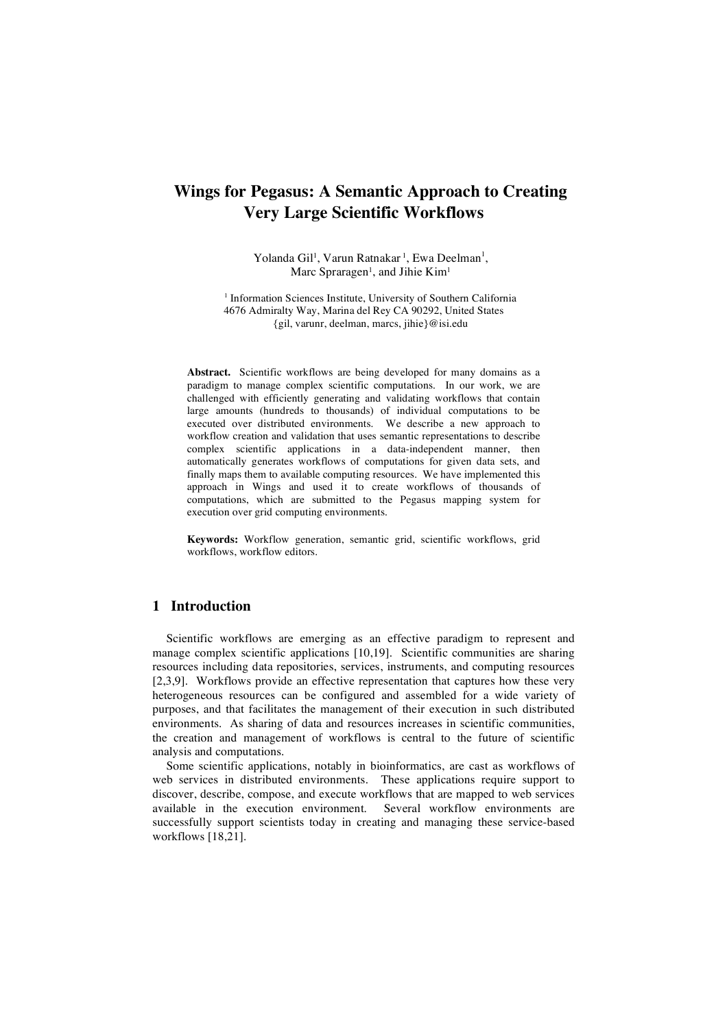# **Wings for Pegasus: A Semantic Approach to Creating Very Large Scientific Workflows**

Yolanda Gil<sup>1</sup>, Varun Ratnakar <sup>1</sup>, Ewa Deelman<sup>1</sup>, Marc Spraragen<sup>1</sup>, and Jihie Kim<sup>1</sup>

<sup>1</sup> Information Sciences Institute, University of Southern California 4676 Admiralty Way, Marina del Rey CA 90292, United States {gil, varunr, deelman, marcs, jihie}@isi.edu

**Abstract.** Scientific workflows are being developed for many domains as a paradigm to manage complex scientific computations. In our work, we are challenged with efficiently generating and validating workflows that contain large amounts (hundreds to thousands) of individual computations to be executed over distributed environments. We describe a new approach to workflow creation and validation that uses semantic representations to describe complex scientific applications in a data-independent manner, then automatically generates workflows of computations for given data sets, and finally maps them to available computing resources. We have implemented this approach in Wings and used it to create workflows of thousands of computations, which are submitted to the Pegasus mapping system for execution over grid computing environments.

**Keywords:** Workflow generation, semantic grid, scientific workflows, grid workflows, workflow editors.

# **1 Introduction**

Scientific workflows are emerging as an effective paradigm to represent and manage complex scientific applications [10,19]. Scientific communities are sharing resources including data repositories, services, instruments, and computing resources [2,3,9]. Workflows provide an effective representation that captures how these very heterogeneous resources can be configured and assembled for a wide variety of purposes, and that facilitates the management of their execution in such distributed environments. As sharing of data and resources increases in scientific communities, the creation and management of workflows is central to the future of scientific analysis and computations.

Some scientific applications, notably in bioinformatics, are cast as workflows of web services in distributed environments. These applications require support to discover, describe, compose, and execute workflows that are mapped to web services available in the execution environment. Several workflow environments are successfully support scientists today in creating and managing these service-based workflows [18,21].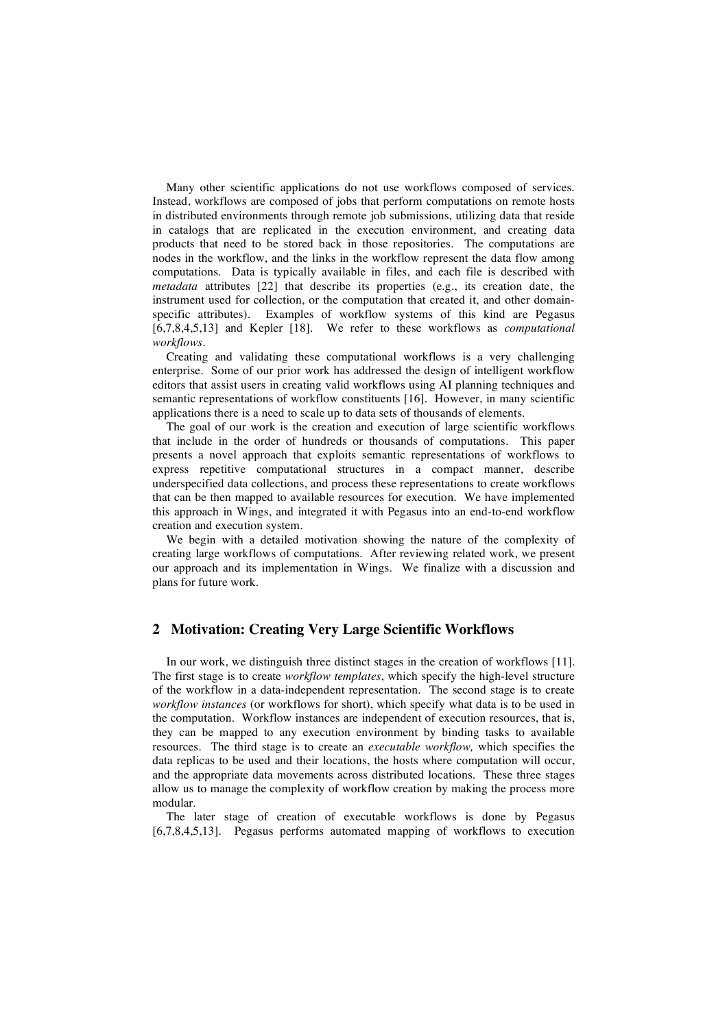Many other scientific applications do not use workflows composed of services. Instead, workflows are composed of jobs that perform computations on remote hosts in distributed environments through remote job submissions, utilizing data that reside in catalogs that are replicated in the execution environment, and creating data products that need to be stored back in those repositories. The computations are nodes in the workflow, and the links in the workflow represent the data flow among computations. Data is typically available in files, and each file is described with *metadata* attributes [22] that describe its properties (e.g., its creation date, the instrument used for collection, or the computation that created it, and other domainspecific attributes). Examples of workflow systems of this kind are Pegasus [6,7,8,4,5,13] and Kepler [18]. We refer to these workflows as *computational workflows*.

Creating and validating these computational workflows is a very challenging enterprise. Some of our prior work has addressed the design of intelligent workflow editors that assist users in creating valid workflows using AI planning techniques and semantic representations of workflow constituents [16]. However, in many scientific applications there is a need to scale up to data sets of thousands of elements.

The goal of our work is the creation and execution of large scientific workflows that include in the order of hundreds or thousands of computations. This paper presents a novel approach that exploits semantic representations of workflows to express repetitive computational structures in a compact manner, describe underspecified data collections, and process these representations to create workflows that can be then mapped to available resources for execution. We have implemented this approach in Wings, and integrated it with Pegasus into an end-to-end workflow creation and execution system.

We begin with a detailed motivation showing the nature of the complexity of creating large workflows of computations. After reviewing related work, we present our approach and its implementation in Wings. We finalize with a discussion and plans for future work.

#### **2 Motivation: Creating Very Large Scientific Workflows**

In our work, we distinguish three distinct stages in the creation of workflows [11]. The first stage is to create *workflow templates*, which specify the high-level structure of the workflow in a data-independent representation. The second stage is to create *workflow instances* (or workflows for short), which specify what data is to be used in the computation. Workflow instances are independent of execution resources, that is, they can be mapped to any execution environment by binding tasks to available resources. The third stage is to create an *executable workflow,* which specifies the data replicas to be used and their locations, the hosts where computation will occur, and the appropriate data movements across distributed locations. These three stages allow us to manage the complexity of workflow creation by making the process more modular.

The later stage of creation of executable workflows is done by Pegasus [6,7,8,4,5,13]. Pegasus performs automated mapping of workflows to execution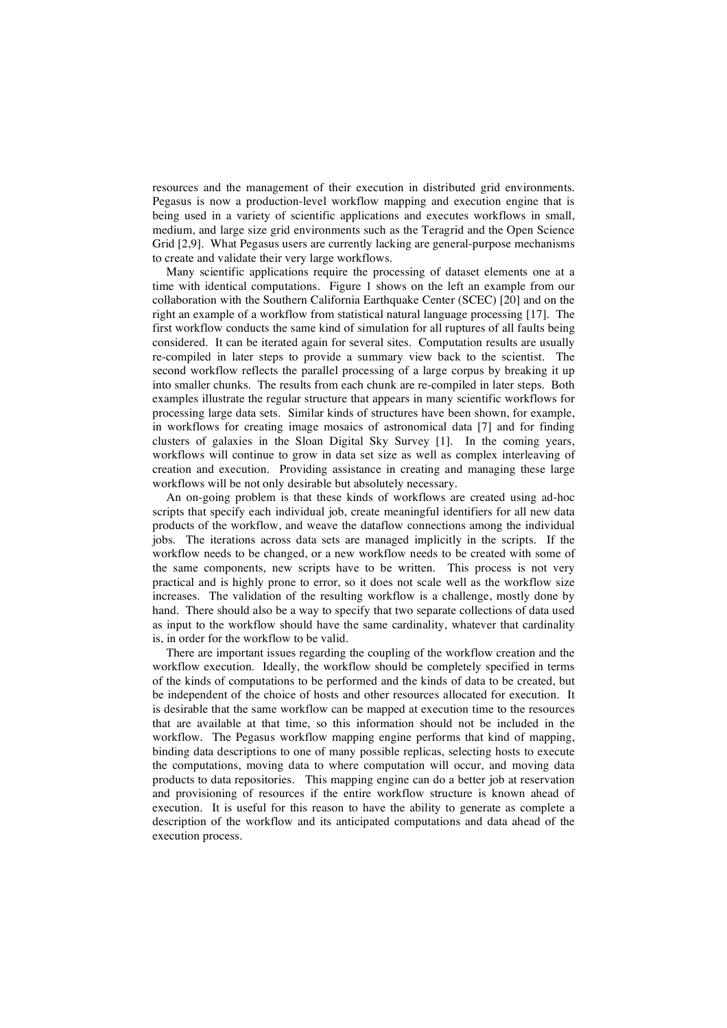resources and the management of their execution in distributed grid environments. Pegasus is now a production-level workflow mapping and execution engine that is being used in a variety of scientific applications and executes workflows in small, medium, and large size grid environments such as the Teragrid and the Open Science Grid [2,9]. What Pegasus users are currently lacking are general-purpose mechanisms to create and validate their very large workflows.

Many scientific applications require the processing of dataset elements one at a time with identical computations. Figure 1 shows on the left an example from our collaboration with the Southern California Earthquake Center (SCEC) [20] and on the right an example of a workflow from statistical natural language processing [17]. The first workflow conducts the same kind of simulation for all ruptures of all faults being considered. It can be iterated again for several sites. Computation results are usually re-compiled in later steps to provide a summary view back to the scientist. The second workflow reflects the parallel processing of a large corpus by breaking it up into smaller chunks. The results from each chunk are re-compiled in later steps. Both examples illustrate the regular structure that appears in many scientific workflows for processing large data sets. Similar kinds of structures have been shown, for example, in workflows for creating image mosaics of astronomical data [7] and for finding clusters of galaxies in the Sloan Digital Sky Survey [1]. In the coming years, workflows will continue to grow in data set size as well as complex interleaving of creation and execution. Providing assistance in creating and managing these large workflows will be not only desirable but absolutely necessary.

An on-going problem is that these kinds of workflows are created using ad-hoc scripts that specify each individual job, create meaningful identifiers for all new data products of the workflow, and weave the dataflow connections among the individual jobs. The iterations across data sets are managed implicitly in the scripts. If the workflow needs to be changed, or a new workflow needs to be created with some of the same components, new scripts have to be written. This process is not very practical and is highly prone to error, so it does not scale well as the workflow size increases. The validation of the resulting workflow is a challenge, mostly done by hand. There should also be a way to specify that two separate collections of data used as input to the workflow should have the same cardinality, whatever that cardinality is, in order for the workflow to be valid.

There are important issues regarding the coupling of the workflow creation and the workflow execution. Ideally, the workflow should be completely specified in terms of the kinds of computations to be performed and the kinds of data to be created, but be independent of the choice of hosts and other resources allocated for execution. It is desirable that the same workflow can be mapped at execution time to the resources that are available at that time, so this information should not be included in the workflow. The Pegasus workflow mapping engine performs that kind of mapping, binding data descriptions to one of many possible replicas, selecting hosts to execute the computations, moving data to where computation will occur, and moving data products to data repositories. This mapping engine can do a better job at reservation and provisioning of resources if the entire workflow structure is known ahead of execution. It is useful for this reason to have the ability to generate as complete a description of the workflow and its anticipated computations and data ahead of the execution process.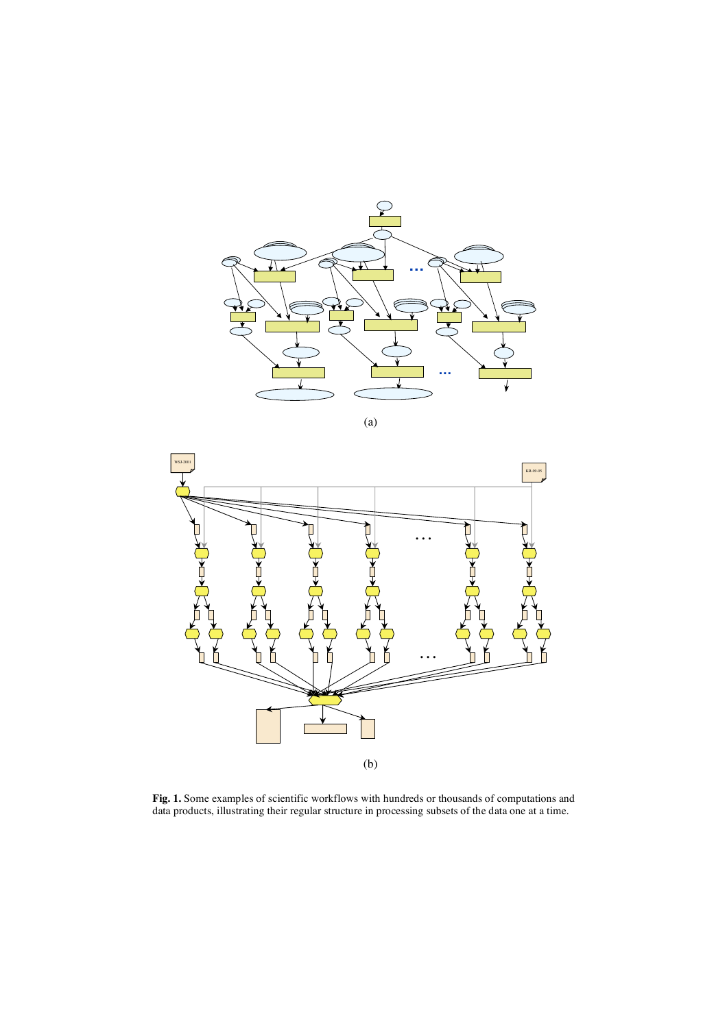

(a)



**Fig. 1.** Some examples of scientific workflows with hundreds or thousands of computations and data products, illustrating their regular structure in processing subsets of the data one at a time.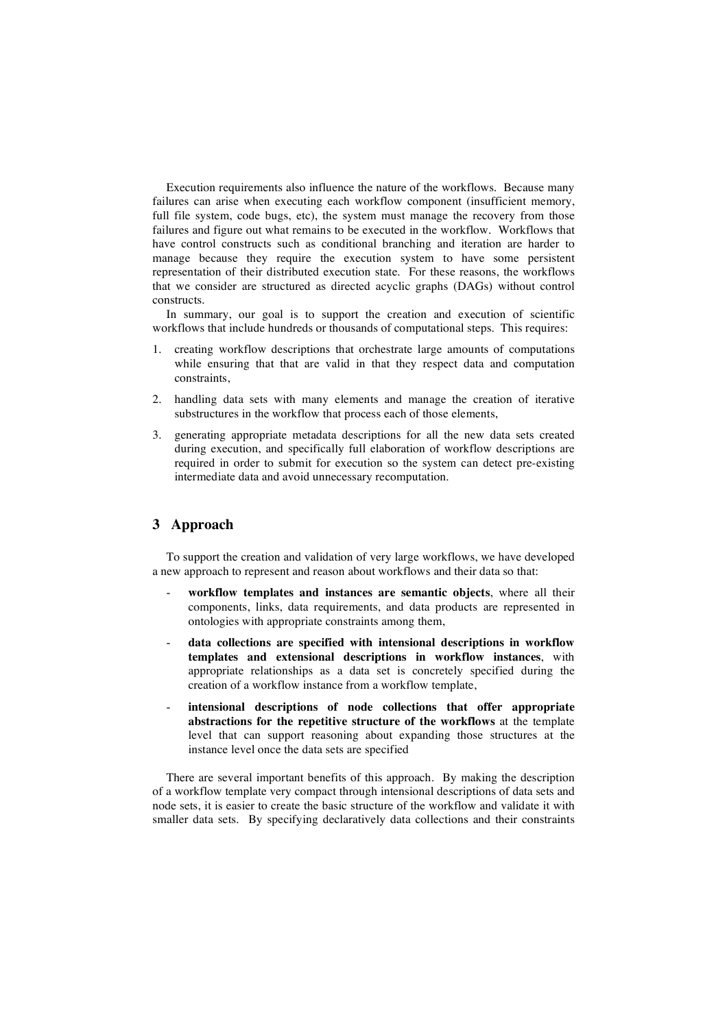Execution requirements also influence the nature of the workflows. Because many failures can arise when executing each workflow component (insufficient memory, full file system, code bugs, etc), the system must manage the recovery from those failures and figure out what remains to be executed in the workflow. Workflows that have control constructs such as conditional branching and iteration are harder to manage because they require the execution system to have some persistent representation of their distributed execution state. For these reasons, the workflows that we consider are structured as directed acyclic graphs (DAGs) without control constructs.

In summary, our goal is to support the creation and execution of scientific workflows that include hundreds or thousands of computational steps. This requires:

- 1. creating workflow descriptions that orchestrate large amounts of computations while ensuring that that are valid in that they respect data and computation constraints,
- 2. handling data sets with many elements and manage the creation of iterative substructures in the workflow that process each of those elements,
- 3. generating appropriate metadata descriptions for all the new data sets created during execution, and specifically full elaboration of workflow descriptions are required in order to submit for execution so the system can detect pre-existing intermediate data and avoid unnecessary recomputation.

# **3 Approach**

To support the creation and validation of very large workflows, we have developed a new approach to represent and reason about workflows and their data so that:

- **workflow templates and instances are semantic objects**, where all their components, links, data requirements, and data products are represented in ontologies with appropriate constraints among them,
- **data collections are specified with intensional descriptions in workflow templates and extensional descriptions in workflow instances**, with appropriate relationships as a data set is concretely specified during the creation of a workflow instance from a workflow template,
- **intensional descriptions of node collections that offer appropriate abstractions for the repetitive structure of the workflows** at the template level that can support reasoning about expanding those structures at the instance level once the data sets are specified

There are several important benefits of this approach. By making the description of a workflow template very compact through intensional descriptions of data sets and node sets, it is easier to create the basic structure of the workflow and validate it with smaller data sets. By specifying declaratively data collections and their constraints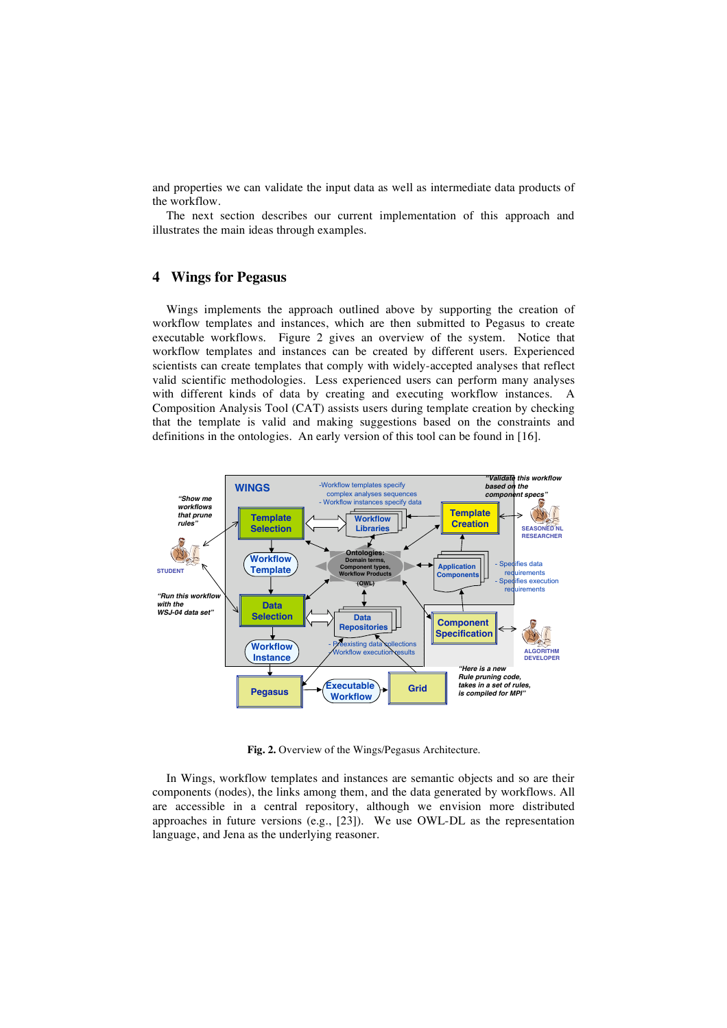and properties we can validate the input data as well as intermediate data products of the workflow.

The next section describes our current implementation of this approach and illustrates the main ideas through examples.

### **4 Wings for Pegasus**

Wings implements the approach outlined above by supporting the creation of workflow templates and instances, which are then submitted to Pegasus to create executable workflows. Figure 2 gives an overview of the system. Notice that workflow templates and instances can be created by different users. Experienced scientists can create templates that comply with widely-accepted analyses that reflect valid scientific methodologies. Less experienced users can perform many analyses with different kinds of data by creating and executing workflow instances. A Composition Analysis Tool (CAT) assists users during template creation by checking that the template is valid and making suggestions based on the constraints and definitions in the ontologies. An early version of this tool can be found in [16].



**Fig. 2.** Overview of the Wings/Pegasus Architecture.

In Wings, workflow templates and instances are semantic objects and so are their components (nodes), the links among them, and the data generated by workflows. All are accessible in a central repository, although we envision more distributed approaches in future versions (e.g., [23]). We use OWL-DL as the representation language, and Jena as the underlying reasoner.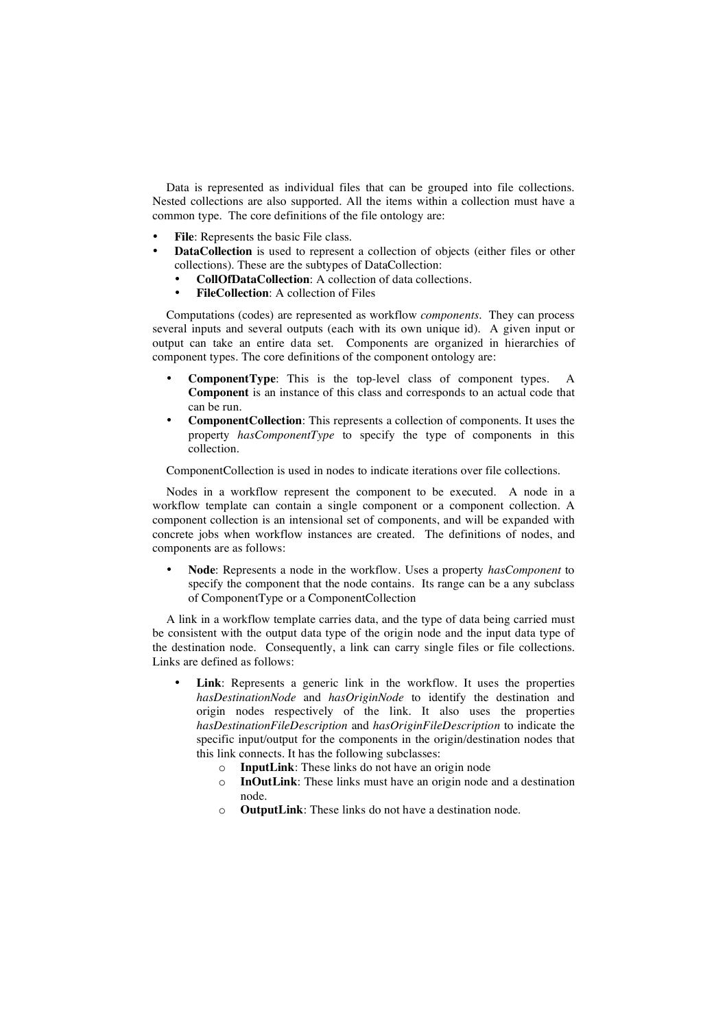Data is represented as individual files that can be grouped into file collections. Nested collections are also supported. All the items within a collection must have a common type. The core definitions of the file ontology are:

- **File**: Represents the basic File class.
- **DataCollection** is used to represent a collection of objects (either files or other collections). These are the subtypes of DataCollection:
	- **CollOfDataCollection**: A collection of data collections.
	- **FileCollection**: A collection of Files

Computations (codes) are represented as workflow *components*. They can process several inputs and several outputs (each with its own unique id). A given input or output can take an entire data set. Components are organized in hierarchies of component types. The core definitions of the component ontology are:

- **ComponentType**: This is the top-level class of component types. A **Component** is an instance of this class and corresponds to an actual code that can be run.
- **ComponentCollection**: This represents a collection of components. It uses the property *hasComponentType* to specify the type of components in this collection.

ComponentCollection is used in nodes to indicate iterations over file collections.

Nodes in a workflow represent the component to be executed. A node in a workflow template can contain a single component or a component collection. A component collection is an intensional set of components, and will be expanded with concrete jobs when workflow instances are created. The definitions of nodes, and components are as follows:

• **Node**: Represents a node in the workflow. Uses a property *hasComponent* to specify the component that the node contains. Its range can be a any subclass of ComponentType or a ComponentCollection

A link in a workflow template carries data, and the type of data being carried must be consistent with the output data type of the origin node and the input data type of the destination node. Consequently, a link can carry single files or file collections. Links are defined as follows:

- Link: Represents a generic link in the workflow. It uses the properties *hasDestinationNode* and *hasOriginNode* to identify the destination and origin nodes respectively of the link. It also uses the properties *hasDestinationFileDescription* and *hasOriginFileDescription* to indicate the specific input/output for the components in the origin/destination nodes that this link connects. It has the following subclasses:
	- o **InputLink**: These links do not have an origin node
	- o **InOutLink**: These links must have an origin node and a destination node.
	- o **OutputLink**: These links do not have a destination node.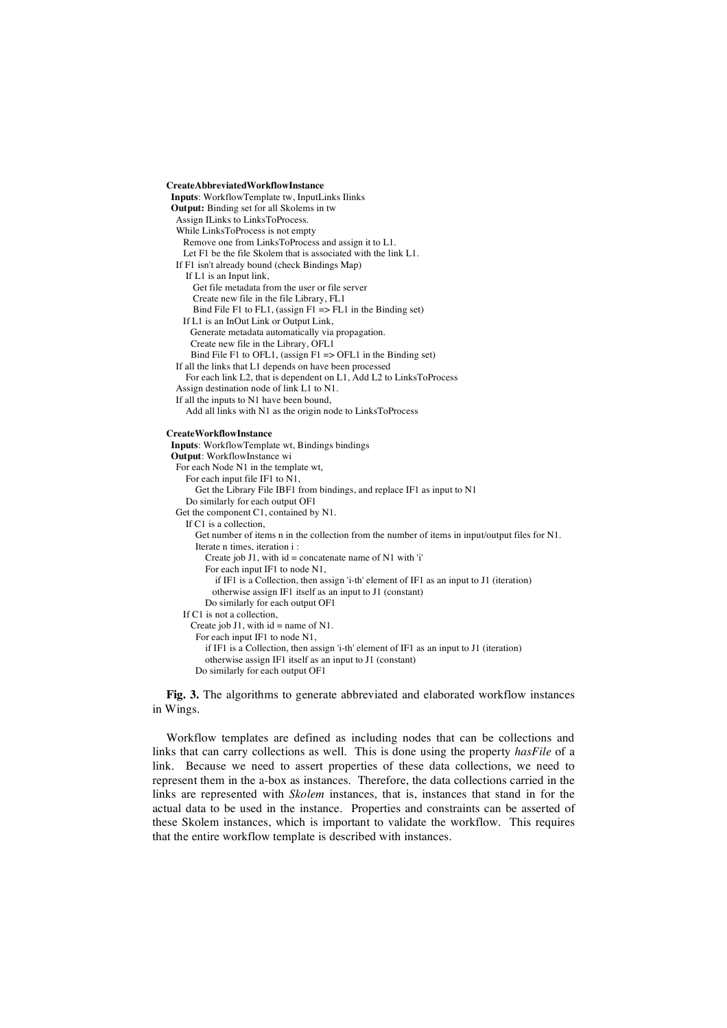#### **CreateAbbreviatedWorkflowInstance**

**Inputs**: WorkflowTemplate tw, InputLinks Ilinks **Output:** Binding set for all Skolems in tw Assign ILinks to LinksToProcess. While LinksToProcess is not empty Remove one from LinksToProcess and assign it to L1. Let F1 be the file Skolem that is associated with the link L1. If F1 isn't already bound (check Bindings Map) If L1 is an Input link, Get file metadata from the user or file server Create new file in the file Library, FL1 Bind File F1 to FL1, (assign  $F1 \Rightarrow F11$  in the Binding set) If L1 is an InOut Link or Output Link, Generate metadata automatically via propagation. Create new file in the Library, OFL1 Bind File F1 to OFL1, (assign  $F1 = > OFL1$  in the Binding set) If all the links that L1 depends on have been processed For each link L2, that is dependent on L1, Add L2 to LinksToProcess Assign destination node of link L1 to N1. If all the inputs to N1 have been bound, Add all links with N1 as the origin node to LinksToProcess **CreateWorkflowInstance Inputs**: WorkflowTemplate wt, Bindings bindings **Output**: WorkflowInstance wi For each Node N1 in the template wt, For each input file IF1 to N1, Get the Library File IBF1 from bindings, and replace IF1 as input to N1 Do similarly for each output OF1 Get the component C1, contained by N1. If C1 is a collection, Get number of items n in the collection from the number of items in input/output files for N1. Iterate n times, iteration i : Create job J1, with  $id =$  concatenate name of N1 with 'i' For each input IF1 to node N1, if IF1 is a Collection, then assign 'i-th' element of IF1 as an input to J1 (iteration) otherwise assign IF1 itself as an input to J1 (constant) Do similarly for each output OF1 If C1 is not a collection, Create job J1, with  $id = name of N1$ . For each input IF1 to node N1, if IF1 is a Collection, then assign 'i-th' element of IF1 as an input to J1 (iteration) otherwise assign IF1 itself as an input to J1 (constant) Do similarly for each output OF1

**Fig. 3.** The algorithms to generate abbreviated and elaborated workflow instances in Wings.

Workflow templates are defined as including nodes that can be collections and links that can carry collections as well. This is done using the property *hasFile* of a link. Because we need to assert properties of these data collections, we need to represent them in the a-box as instances. Therefore, the data collections carried in the links are represented with *Skolem* instances, that is, instances that stand in for the actual data to be used in the instance. Properties and constraints can be asserted of these Skolem instances, which is important to validate the workflow. This requires that the entire workflow template is described with instances.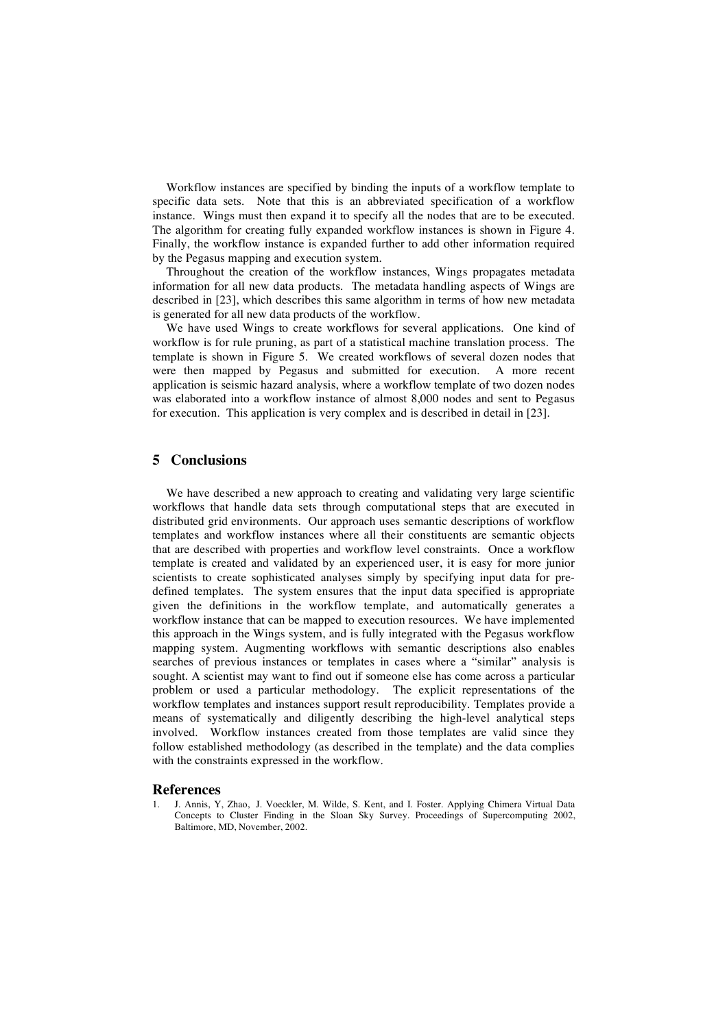Workflow instances are specified by binding the inputs of a workflow template to specific data sets. Note that this is an abbreviated specification of a workflow instance. Wings must then expand it to specify all the nodes that are to be executed. The algorithm for creating fully expanded workflow instances is shown in Figure 4. Finally, the workflow instance is expanded further to add other information required by the Pegasus mapping and execution system.

Throughout the creation of the workflow instances, Wings propagates metadata information for all new data products. The metadata handling aspects of Wings are described in [23], which describes this same algorithm in terms of how new metadata is generated for all new data products of the workflow.

We have used Wings to create workflows for several applications. One kind of workflow is for rule pruning, as part of a statistical machine translation process. The template is shown in Figure 5. We created workflows of several dozen nodes that were then mapped by Pegasus and submitted for execution. A more recent application is seismic hazard analysis, where a workflow template of two dozen nodes was elaborated into a workflow instance of almost 8,000 nodes and sent to Pegasus for execution. This application is very complex and is described in detail in [23].

### **5 Conclusions**

We have described a new approach to creating and validating very large scientific workflows that handle data sets through computational steps that are executed in distributed grid environments. Our approach uses semantic descriptions of workflow templates and workflow instances where all their constituents are semantic objects that are described with properties and workflow level constraints. Once a workflow template is created and validated by an experienced user, it is easy for more junior scientists to create sophisticated analyses simply by specifying input data for predefined templates. The system ensures that the input data specified is appropriate given the definitions in the workflow template, and automatically generates a workflow instance that can be mapped to execution resources. We have implemented this approach in the Wings system, and is fully integrated with the Pegasus workflow mapping system. Augmenting workflows with semantic descriptions also enables searches of previous instances or templates in cases where a "similar" analysis is sought. A scientist may want to find out if someone else has come across a particular problem or used a particular methodology. The explicit representations of the workflow templates and instances support result reproducibility. Templates provide a means of systematically and diligently describing the high-level analytical steps involved. Workflow instances created from those templates are valid since they follow established methodology (as described in the template) and the data complies with the constraints expressed in the workflow.

#### **References**

1. J. Annis, Y, Zhao, J. Voeckler, M. Wilde, S. Kent, and I. Foster. Applying Chimera Virtual Data Concepts to Cluster Finding in the Sloan Sky Survey. Proceedings of Supercomputing 2002, Baltimore, MD, November, 2002.